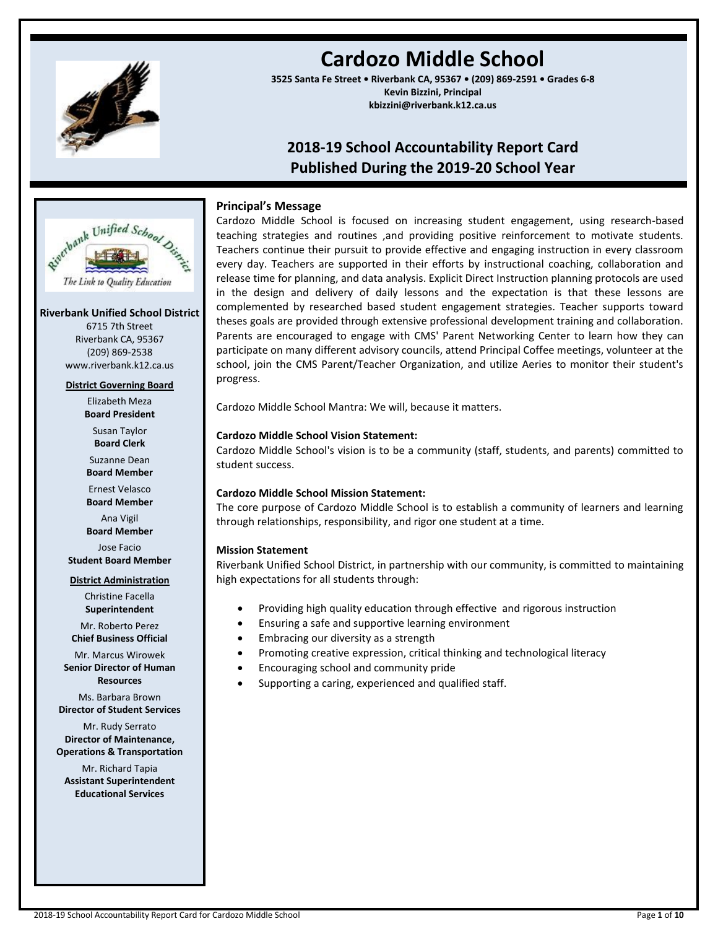

# **Cardozo Middle School**

**3525 Santa Fe Street • Riverbank CA, 95367 • (209) 869-2591 • Grades 6-8 Kevin Bizzini, Principal kbizzini@riverbank.k12.ca.us**

## **2018-19 School Accountability Report Card Published During the 2019-20 School Year**



#### **Riverbank Unified School District**

6715 7th Street Riverbank CA, 95367 (209) 869-2538 www.riverbank.k12.ca.us

#### **District Governing Board**

Elizabeth Meza **Board President**

Susan Taylor **Board Clerk**

Suzanne Dean **Board Member**

Ernest Velasco **Board Member**

Ana Vigil **Board Member**

Jose Facio **Student Board Member**

#### **District Administration**

Christine Facella **Superintendent**

Mr. Roberto Perez **Chief Business Official**

Mr. Marcus Wirowek

**Senior Director of Human Resources**

Ms. Barbara Brown **Director of Student Services**

Mr. Rudy Serrato **Director of Maintenance, Operations & Transportation**

Mr. Richard Tapia **Assistant Superintendent Educational Services**

## **Principal's Message**

Cardozo Middle School is focused on increasing student engagement, using research-based teaching strategies and routines ,and providing positive reinforcement to motivate students. Teachers continue their pursuit to provide effective and engaging instruction in every classroom every day. Teachers are supported in their efforts by instructional coaching, collaboration and release time for planning, and data analysis. Explicit Direct Instruction planning protocols are used in the design and delivery of daily lessons and the expectation is that these lessons are complemented by researched based student engagement strategies. Teacher supports toward theses goals are provided through extensive professional development training and collaboration. Parents are encouraged to engage with CMS' Parent Networking Center to learn how they can participate on many different advisory councils, attend Principal Coffee meetings, volunteer at the school, join the CMS Parent/Teacher Organization, and utilize Aeries to monitor their student's progress.

Cardozo Middle School Mantra: We will, because it matters.

## **Cardozo Middle School Vision Statement:**

Cardozo Middle School's vision is to be a community (staff, students, and parents) committed to student success.

## **Cardozo Middle School Mission Statement:**

The core purpose of Cardozo Middle School is to establish a community of learners and learning through relationships, responsibility, and rigor one student at a time.

## **Mission Statement**

Riverbank Unified School District, in partnership with our community, is committed to maintaining high expectations for all students through:

- Providing high quality education through effective and rigorous instruction
- Ensuring a safe and supportive learning environment
- Embracing our diversity as a strength
- Promoting creative expression, critical thinking and technological literacy
- Encouraging school and community pride
- Supporting a caring, experienced and qualified staff.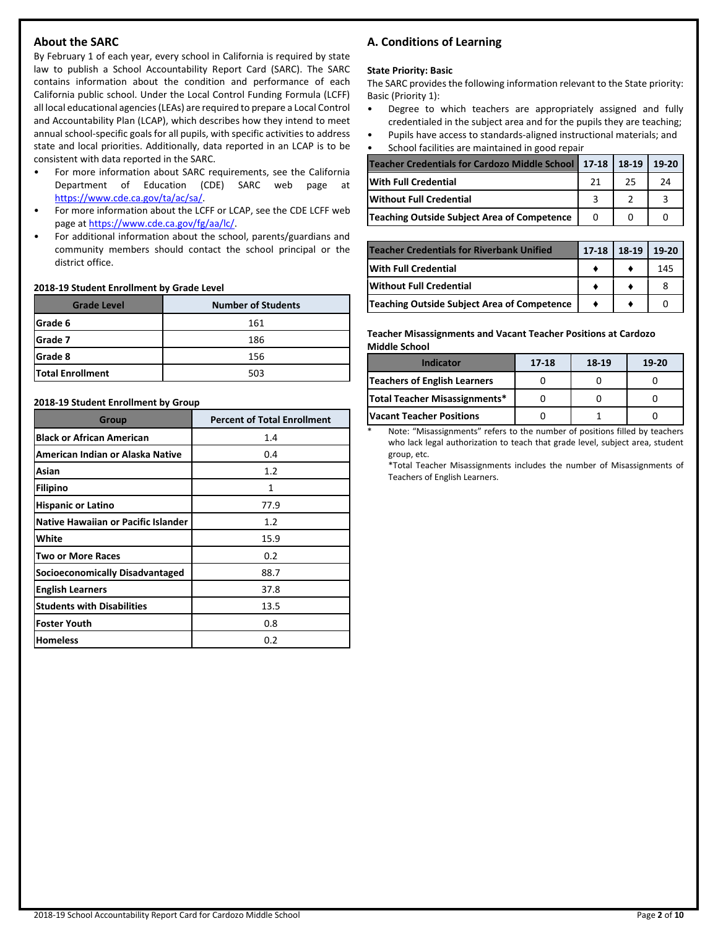## **About the SARC**

By February 1 of each year, every school in California is required by state law to publish a School Accountability Report Card (SARC). The SARC contains information about the condition and performance of each California public school. Under the Local Control Funding Formula (LCFF) all local educational agencies (LEAs) are required to prepare a Local Control and Accountability Plan (LCAP), which describes how they intend to meet annual school-specific goals for all pupils, with specific activities to address state and local priorities. Additionally, data reported in an LCAP is to be consistent with data reported in the SARC.

- For more information about SARC requirements, see the California Department of Education (CDE) SARC web page at [https://www.cde.ca.gov/ta/ac/sa/.](https://www.cde.ca.gov/ta/ac/sa/)
- For more information about the LCFF or LCAP, see the CDE LCFF web page at [https://www.cde.ca.gov/fg/aa/lc/.](https://www.cde.ca.gov/fg/aa/lc/)
- For additional information about the school, parents/guardians and community members should contact the school principal or the district office.

#### **2018-19 Student Enrollment by Grade Level**

| <b>Grade Level</b>      | <b>Number of Students</b> |
|-------------------------|---------------------------|
| Grade 6                 | 161                       |
| Grade 7                 | 186                       |
| Grade 8                 | 156                       |
| <b>Total Enrollment</b> | 503                       |

#### **2018-19 Student Enrollment by Group**

| Group                                      | <b>Percent of Total Enrollment</b> |
|--------------------------------------------|------------------------------------|
| <b>Black or African American</b>           | 1.4                                |
| American Indian or Alaska Native           | 0.4                                |
| Asian                                      | 1.2                                |
| <b>Filipino</b>                            | $\mathbf{1}$                       |
| <b>Hispanic or Latino</b>                  | 77.9                               |
| <b>Native Hawaiian or Pacific Islander</b> | 1.2                                |
| White                                      | 15.9                               |
| <b>Two or More Races</b>                   | 0.2                                |
| <b>Socioeconomically Disadvantaged</b>     | 88.7                               |
| <b>English Learners</b>                    | 37.8                               |
| <b>Students with Disabilities</b>          | 13.5                               |
| <b>Foster Youth</b>                        | 0.8                                |
| <b>Homeless</b>                            | 0.2                                |

## **A. Conditions of Learning**

#### **State Priority: Basic**

The SARC provides the following information relevant to the State priority: Basic (Priority 1):

- Degree to which teachers are appropriately assigned and fully credentialed in the subject area and for the pupils they are teaching;
- Pupils have access to standards-aligned instructional materials; and • School facilities are maintained in good repair

| Scribbi Tacintics are manitalited in good repair      |    |         |       |
|-------------------------------------------------------|----|---------|-------|
| Teacher Credentials for Cardozo Middle School   17-18 |    | $18-19$ | 19-20 |
| <b>With Full Credential</b>                           | 21 | 25      | 24    |
| <b>Without Full Credential</b>                        |    |         |       |
| Teaching Outside Subject Area of Competence           |    |         |       |

| <b>Teacher Credentials for Riverbank Unified</b> | $17-18$ | 18-19 | 19-20 |
|--------------------------------------------------|---------|-------|-------|
| <b>With Full Credential</b>                      |         |       | 145   |
| <b>IWithout Full Credential</b>                  |         |       |       |
| Teaching Outside Subject Area of Competence      |         |       |       |

#### **Teacher Misassignments and Vacant Teacher Positions at Cardozo Middle School**

| <b>Indicator</b>                    | 17-18 | 18-19 | $19-20$ |
|-------------------------------------|-------|-------|---------|
| <b>Teachers of English Learners</b> |       |       |         |
| Total Teacher Misassignments*       |       |       |         |
| <b>Vacant Teacher Positions</b>     |       |       |         |

Note: "Misassignments" refers to the number of positions filled by teachers who lack legal authorization to teach that grade level, subject area, student group, etc.

\*Total Teacher Misassignments includes the number of Misassignments of Teachers of English Learners.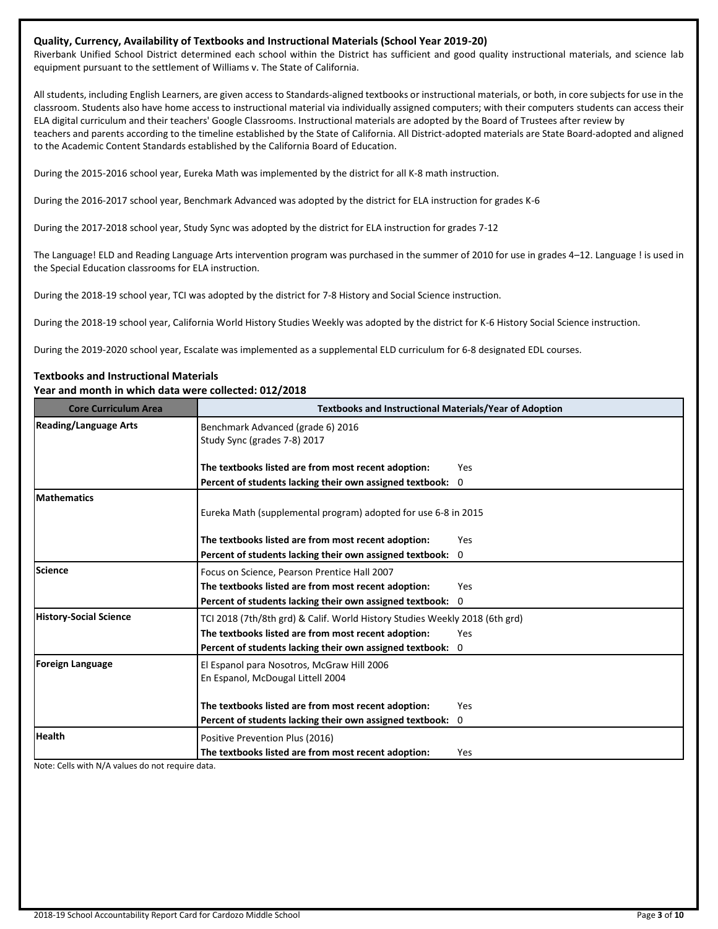#### **Quality, Currency, Availability of Textbooks and Instructional Materials (School Year 2019-20)**

Riverbank Unified School District determined each school within the District has sufficient and good quality instructional materials, and science lab equipment pursuant to the settlement of Williams v. The State of California.

All students, including English Learners, are given access to Standards-aligned textbooks or instructional materials, or both, in core subjects for use in the classroom. Students also have home access to instructional material via individually assigned computers; with their computers students can access their ELA digital curriculum and their teachers' Google Classrooms. Instructional materials are adopted by the Board of Trustees after review by teachers and parents according to the timeline established by the State of California. All District-adopted materials are State Board-adopted and aligned to the Academic Content Standards established by the California Board of Education.

During the 2015-2016 school year, Eureka Math was implemented by the district for all K-8 math instruction.

During the 2016-2017 school year, Benchmark Advanced was adopted by the district for ELA instruction for grades K-6

During the 2017-2018 school year, Study Sync was adopted by the district for ELA instruction for grades 7-12

The Language! ELD and Reading Language Arts intervention program was purchased in the summer of 2010 for use in grades 4–12. Language ! is used in the Special Education classrooms for ELA instruction.

During the 2018-19 school year, TCI was adopted by the district for 7-8 History and Social Science instruction.

During the 2018-19 school year, California World History Studies Weekly was adopted by the district for K-6 History Social Science instruction.

During the 2019-2020 school year, Escalate was implemented as a supplemental ELD curriculum for 6-8 designated EDL courses.

## **Textbooks and Instructional Materials**

#### **Year and month in which data were collected: 012/2018**

| <b>Core Curriculum Area</b>   | <b>Textbooks and Instructional Materials/Year of Adoption</b>                   |            |
|-------------------------------|---------------------------------------------------------------------------------|------------|
| <b>Reading/Language Arts</b>  | Benchmark Advanced (grade 6) 2016<br>Study Sync (grades 7-8) 2017               |            |
|                               | The textbooks listed are from most recent adoption:                             | Yes        |
|                               | Percent of students lacking their own assigned textbook:                        | 0          |
| <b>Mathematics</b>            | Eureka Math (supplemental program) adopted for use 6-8 in 2015                  |            |
|                               | The textbooks listed are from most recent adoption:                             | Yes        |
|                               | Percent of students lacking their own assigned textbook:                        | 0          |
| Science                       | Focus on Science, Pearson Prentice Hall 2007                                    |            |
|                               | The textbooks listed are from most recent adoption:                             | <b>Yes</b> |
|                               | Percent of students lacking their own assigned textbook:                        | 0          |
| <b>History-Social Science</b> | TCI 2018 (7th/8th grd) & Calif. World History Studies Weekly 2018 (6th grd)     |            |
|                               | The textbooks listed are from most recent adoption:                             | Yes        |
|                               | Percent of students lacking their own assigned textbook: 0                      |            |
| Foreign Language              | El Espanol para Nosotros, McGraw Hill 2006<br>En Espanol, McDougal Littell 2004 |            |
|                               | The textbooks listed are from most recent adoption:                             | Yes        |
|                               | Percent of students lacking their own assigned textbook: 0                      |            |
| <b>Health</b>                 | Positive Prevention Plus (2016)                                                 |            |
|                               | The textbooks listed are from most recent adoption:                             | Yes        |

Note: Cells with N/A values do not require data.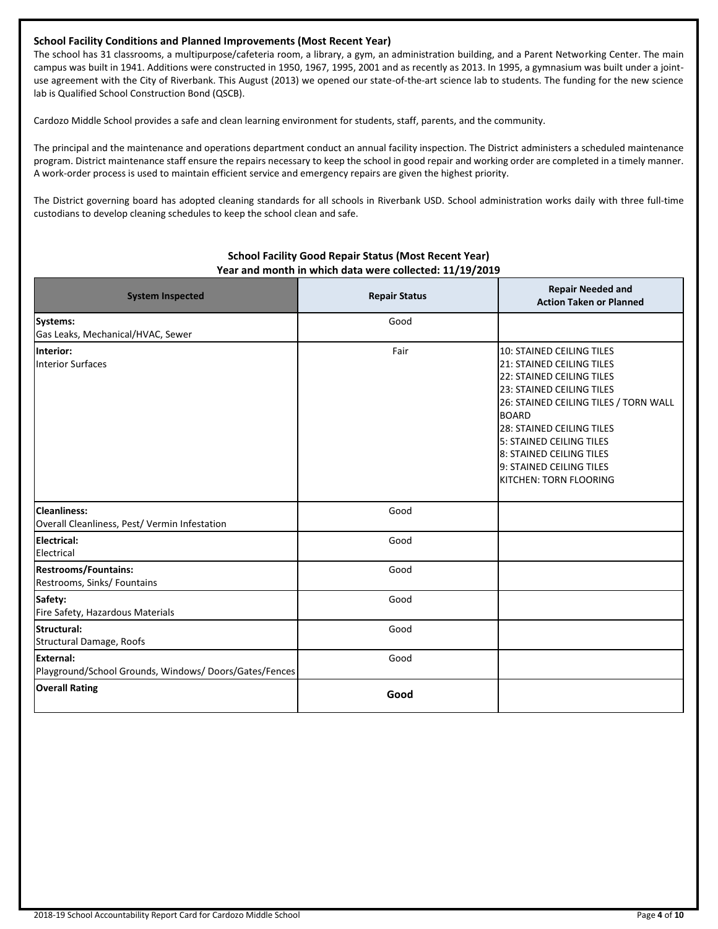## **School Facility Conditions and Planned Improvements (Most Recent Year)**

The school has 31 classrooms, a multipurpose/cafeteria room, a library, a gym, an administration building, and a Parent Networking Center. The main campus was built in 1941. Additions were constructed in 1950, 1967, 1995, 2001 and as recently as 2013. In 1995, a gymnasium was built under a jointuse agreement with the City of Riverbank. This August (2013) we opened our state-of-the-art science lab to students. The funding for the new science lab is Qualified School Construction Bond (QSCB).

Cardozo Middle School provides a safe and clean learning environment for students, staff, parents, and the community.

The principal and the maintenance and operations department conduct an annual facility inspection. The District administers a scheduled maintenance program. District maintenance staff ensure the repairs necessary to keep the school in good repair and working order are completed in a timely manner. A work-order process is used to maintain efficient service and emergency repairs are given the highest priority.

The District governing board has adopted cleaning standards for all schools in Riverbank USD. School administration works daily with three full-time custodians to develop cleaning schedules to keep the school clean and safe.

| <b>System Inspected</b>                                                   | <b>Repair Status</b> | <b>Repair Needed and</b><br><b>Action Taken or Planned</b>                                                                                                                                                                                                                                                                  |  |
|---------------------------------------------------------------------------|----------------------|-----------------------------------------------------------------------------------------------------------------------------------------------------------------------------------------------------------------------------------------------------------------------------------------------------------------------------|--|
| Systems:<br>Gas Leaks, Mechanical/HVAC, Sewer                             | Good                 |                                                                                                                                                                                                                                                                                                                             |  |
| Interior:<br><b>Interior Surfaces</b>                                     | Fair                 | 10: STAINED CEILING TILES<br><b>21: STAINED CEILING TILES</b><br>22: STAINED CEILING TILES<br>23: STAINED CEILING TILES<br>26: STAINED CEILING TILES / TORN WALL<br><b>BOARD</b><br>28: STAINED CEILING TILES<br>5: STAINED CEILING TILES<br>8: STAINED CEILING TILES<br>9: STAINED CEILING TILES<br>KITCHEN: TORN FLOORING |  |
| <b>Cleanliness:</b><br>Overall Cleanliness, Pest/ Vermin Infestation      | Good                 |                                                                                                                                                                                                                                                                                                                             |  |
| <b>Electrical:</b><br>Electrical                                          | Good                 |                                                                                                                                                                                                                                                                                                                             |  |
| <b>Restrooms/Fountains:</b><br>Restrooms, Sinks/ Fountains                | Good                 |                                                                                                                                                                                                                                                                                                                             |  |
| Safety:<br>Fire Safety, Hazardous Materials                               | Good                 |                                                                                                                                                                                                                                                                                                                             |  |
| Structural:<br>Structural Damage, Roofs                                   | Good                 |                                                                                                                                                                                                                                                                                                                             |  |
| <b>External:</b><br>Playground/School Grounds, Windows/Doors/Gates/Fences | Good                 |                                                                                                                                                                                                                                                                                                                             |  |
| <b>Overall Rating</b>                                                     | Good                 |                                                                                                                                                                                                                                                                                                                             |  |

## **School Facility Good Repair Status (Most Recent Year) Year and month in which data were collected: 11/19/2019**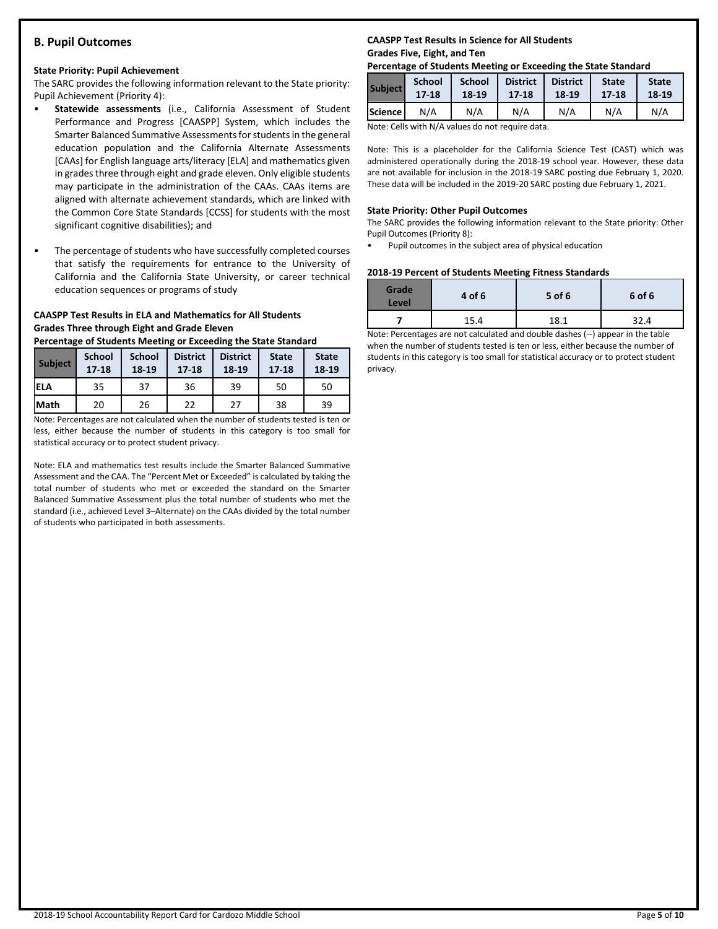## **B. Pupil Outcomes**

#### **State Priority: Pupil Achievement**

The SARC provides the following information relevant to the State priority: Pupil Achievement (Priority 4):

- **Statewide assessments** (i.e., California Assessment of Student Performance and Progress [CAASPP] System, which includes the Smarter Balanced Summative Assessments for students in the general education population and the California Alternate Assessments [CAAs] for English language arts/literacy [ELA] and mathematics given in grades three through eight and grade eleven. Only eligible students may participate in the administration of the CAAs. CAAs items are aligned with alternate achievement standards, which are linked with the Common Core State Standards [CCSS] for students with the most significant cognitive disabilities); and
- The percentage of students who have successfully completed courses that satisfy the requirements for entrance to the University of California and the California State University, or career technical education sequences or programs of study

## **CAASPP Test Results in ELA and Mathematics for All Students Grades Three through Eight and Grade Eleven**

**Percentage of Students Meeting or Exceeding the State Standard**

| <b>Subject</b> | <b>School</b><br>$17 - 18$ | <b>School</b><br>18-19 | <b>District</b><br>$17 - 18$ | <b>District</b><br>18-19 | <b>State</b><br>$17 - 18$ | <b>State</b><br>18-19 |
|----------------|----------------------------|------------------------|------------------------------|--------------------------|---------------------------|-----------------------|
| iela           | 35                         | 37                     | 36                           | 39                       | 50                        | 50                    |
| <b>Math</b>    | 20                         | 26                     | 22                           | 27                       | 38                        | 39                    |

Note: Percentages are not calculated when the number of students tested is ten or less, either because the number of students in this category is too small for statistical accuracy or to protect student privacy.

Note: ELA and mathematics test results include the Smarter Balanced Summative Assessment and the CAA. The "Percent Met or Exceeded" is calculated by taking the total number of students who met or exceeded the standard on the Smarter Balanced Summative Assessment plus the total number of students who met the standard (i.e., achieved Level 3–Alternate) on the CAAs divided by the total number of students who participated in both assessments.

## **CAASPP Test Results in Science for All Students Grades Five, Eight, and Ten**

#### **Percentage of Students Meeting or Exceeding the State Standard**

| <b>Subject</b> | <b>School</b> | <b>School</b> | <b>District</b> | <b>District</b> | <b>State</b> | <b>State</b> |
|----------------|---------------|---------------|-----------------|-----------------|--------------|--------------|
|                | $17 - 18$     | $18-19$       | 17-18           | $18 - 19$       | 17-18        | 18-19        |
| Science        | N/A           | N/A           | N/A             | N/A             | N/A          | N/A          |

Note: Cells with N/A values do not require data.

Note: This is a placeholder for the California Science Test (CAST) which was administered operationally during the 2018-19 school year. However, these data are not available for inclusion in the 2018-19 SARC posting due February 1, 2020. These data will be included in the 2019-20 SARC posting due February 1, 2021.

#### **State Priority: Other Pupil Outcomes**

The SARC provides the following information relevant to the State priority: Other Pupil Outcomes (Priority 8):

• Pupil outcomes in the subject area of physical education

#### **2018-19 Percent of Students Meeting Fitness Standards**

| <b>Grade</b><br>Level | 4 of 6 | 5 of 6 | 6 of 6 |
|-----------------------|--------|--------|--------|
|                       | 15.4   | 18.1   | 32.4   |

Note: Percentages are not calculated and double dashes (--) appear in the table when the number of students tested is ten or less, either because the number of students in this category is too small for statistical accuracy or to protect student privacy.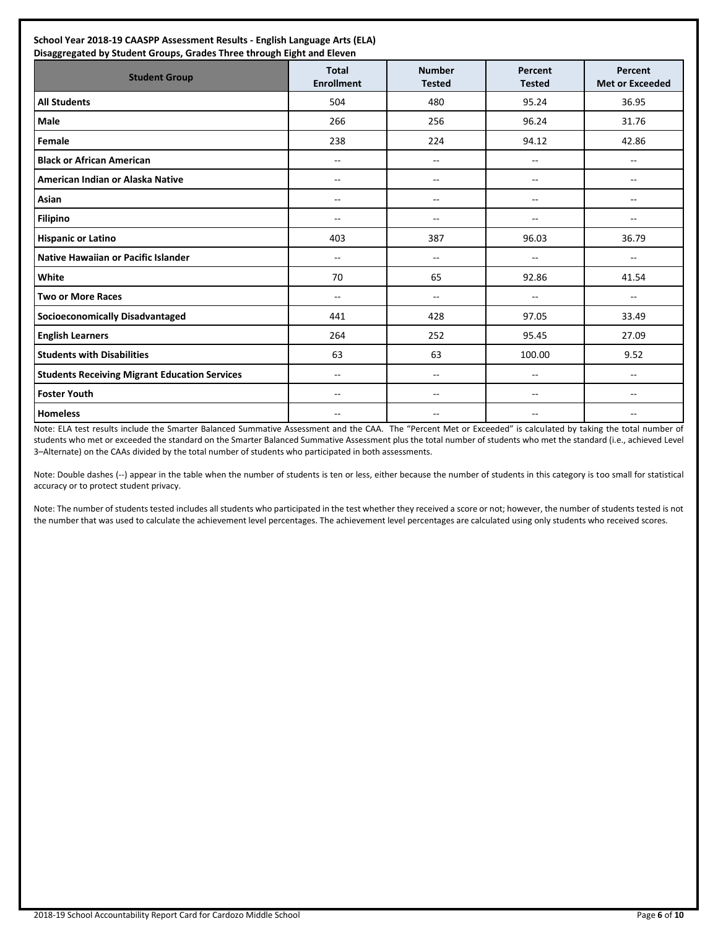| <b>Student Group</b>                                 | <b>Total</b><br><b>Enrollment</b> | <b>Number</b><br><b>Tested</b> | <b>Percent</b><br><b>Tested</b> | Percent<br><b>Met or Exceeded</b> |
|------------------------------------------------------|-----------------------------------|--------------------------------|---------------------------------|-----------------------------------|
| <b>All Students</b>                                  | 504                               | 480                            | 95.24                           | 36.95                             |
| <b>Male</b>                                          | 266                               | 256                            | 96.24                           | 31.76                             |
| Female                                               | 238                               | 224                            | 94.12                           | 42.86                             |
| <b>Black or African American</b>                     | $-$                               | $\overline{\phantom{a}}$       | $- -$                           | $-$                               |
| American Indian or Alaska Native                     | --                                | --                             | --                              | --                                |
| Asian                                                | $-$                               | --                             | --                              | --                                |
| <b>Filipino</b>                                      | $\overline{a}$                    | $\mathbf{u}$                   | $\overline{a}$                  | --                                |
| <b>Hispanic or Latino</b>                            | 403                               | 387                            | 96.03                           | 36.79                             |
| <b>Native Hawaiian or Pacific Islander</b>           | $-$                               | $- -$                          | $-$                             | $- -$                             |
| White                                                | 70                                | 65                             | 92.86                           | 41.54                             |
| <b>Two or More Races</b>                             | $-$                               | $- -$                          | --                              | --                                |
| <b>Socioeconomically Disadvantaged</b>               | 441                               | 428                            | 97.05                           | 33.49                             |
| <b>English Learners</b>                              | 264                               | 252                            | 95.45                           | 27.09                             |
| <b>Students with Disabilities</b>                    | 63                                | 63                             | 100.00                          | 9.52                              |
| <b>Students Receiving Migrant Education Services</b> | $-$                               | $\overline{\phantom{a}}$       | $\overline{a}$                  | $\mathbf{u}$                      |
| <b>Foster Youth</b>                                  | $-$                               | $-$                            | $- -$                           | $\overline{a}$                    |
| <b>Homeless</b>                                      | $-$                               | --                             | $- -$                           | $-$                               |

Note: ELA test results include the Smarter Balanced Summative Assessment and the CAA. The "Percent Met or Exceeded" is calculated by taking the total number of students who met or exceeded the standard on the Smarter Balanced Summative Assessment plus the total number of students who met the standard (i.e., achieved Level 3–Alternate) on the CAAs divided by the total number of students who participated in both assessments.

Note: Double dashes (--) appear in the table when the number of students is ten or less, either because the number of students in this category is too small for statistical accuracy or to protect student privacy.

Note: The number of students tested includes all students who participated in the test whether they received a score or not; however, the number of students tested is not the number that was used to calculate the achievement level percentages. The achievement level percentages are calculated using only students who received scores.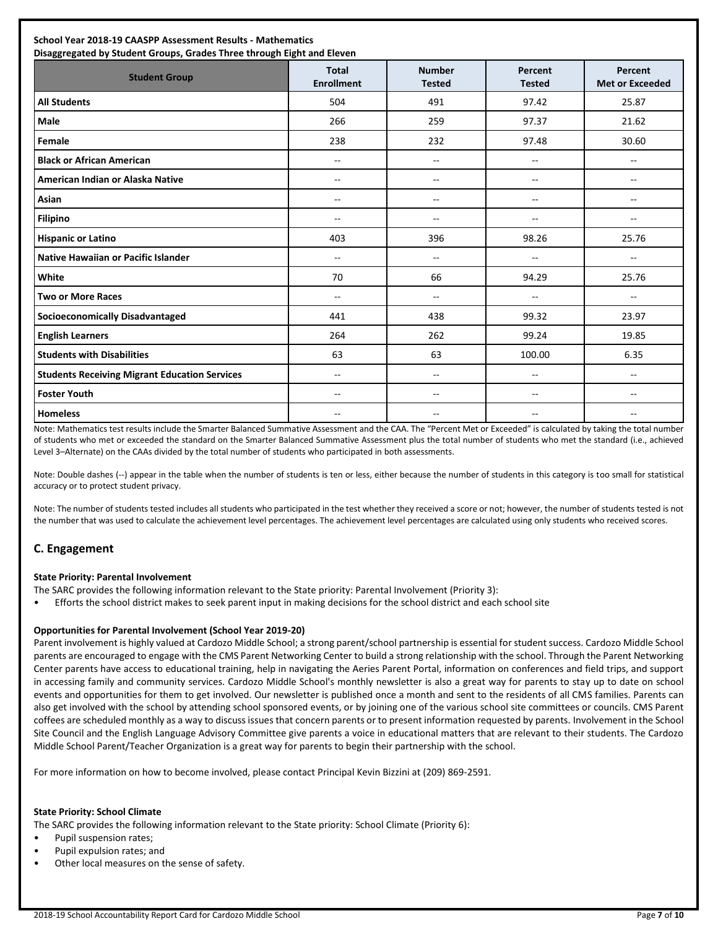| School Year 2018-19 CAASPP Assessment Results - Mathematics<br>Disaggregated by Student Groups, Grades Three through Eight and Eleven |                                   |                                |                          |                                   |
|---------------------------------------------------------------------------------------------------------------------------------------|-----------------------------------|--------------------------------|--------------------------|-----------------------------------|
| <b>Student Group</b>                                                                                                                  | <b>Total</b><br><b>Enrollment</b> | <b>Number</b><br><b>Tested</b> | Percent<br><b>Tested</b> | Percent<br><b>Met or Exceeded</b> |
| <b>All Students</b>                                                                                                                   | 504                               | 491                            | 97.42                    | 25.87                             |
| <b>Male</b>                                                                                                                           | 266                               | 259                            | 97.37                    | 21.62                             |
| Female                                                                                                                                | 238                               | 232                            | 97.48                    | 30.60                             |
| <b>Black or African American</b>                                                                                                      | $-$                               | $\overline{a}$                 | $-$                      | $\overline{a}$                    |
| American Indian or Alaska Native                                                                                                      | $-$                               | $\sim$                         | $-$                      | $\overline{\phantom{a}}$          |
| Asian                                                                                                                                 | --                                | $\overline{a}$                 | --                       | $\sim$ $\sim$                     |
| <b>Filipino</b>                                                                                                                       | $-$                               | $\overline{a}$                 | $\overline{a}$           | $-$                               |
| <b>Hispanic or Latino</b>                                                                                                             | 403                               | 396                            | 98.26                    | 25.76                             |
| Native Hawaiian or Pacific Islander                                                                                                   | $-$                               | $\overline{a}$                 | $\overline{a}$           | $-$                               |
| White                                                                                                                                 | 70                                | 66                             | 94.29                    | 25.76                             |
| <b>Two or More Races</b>                                                                                                              | --                                | $\mathbf{u}$                   | $\overline{\phantom{a}}$ | $\mathbf{u}$                      |
| <b>Socioeconomically Disadvantaged</b>                                                                                                | 441                               | 438                            | 99.32                    | 23.97                             |
| <b>English Learners</b>                                                                                                               | 264                               | 262                            | 99.24                    | 19.85                             |
| <b>Students with Disabilities</b>                                                                                                     | 63                                | 63                             | 100.00                   | 6.35                              |
| <b>Students Receiving Migrant Education Services</b>                                                                                  | --                                | $\overline{a}$                 | $\overline{\phantom{a}}$ | $-$                               |
| <b>Foster Youth</b>                                                                                                                   | $\sim$                            | $\sim$                         | $-$                      | $\sim$                            |
| <b>Homeless</b>                                                                                                                       | --                                | $-$                            | $\overline{\phantom{a}}$ | $-$                               |

Note: Mathematics test results include the Smarter Balanced Summative Assessment and the CAA. The "Percent Met or Exceeded" is calculated by taking the total number of students who met or exceeded the standard on the Smarter Balanced Summative Assessment plus the total number of students who met the standard (i.e., achieved Level 3–Alternate) on the CAAs divided by the total number of students who participated in both assessments.

Note: Double dashes (--) appear in the table when the number of students is ten or less, either because the number of students in this category is too small for statistical accuracy or to protect student privacy.

Note: The number of students tested includes all students who participated in the test whether they received a score or not; however, the number of students tested is not the number that was used to calculate the achievement level percentages. The achievement level percentages are calculated using only students who received scores.

## **C. Engagement**

#### **State Priority: Parental Involvement**

The SARC provides the following information relevant to the State priority: Parental Involvement (Priority 3):

• Efforts the school district makes to seek parent input in making decisions for the school district and each school site

#### **Opportunities for Parental Involvement (School Year 2019-20)**

Parent involvement is highly valued at Cardozo Middle School; a strong parent/school partnership is essential for student success. Cardozo Middle School parents are encouraged to engage with the CMS Parent Networking Center to build a strong relationship with the school. Through the Parent Networking Center parents have access to educational training, help in navigating the Aeries Parent Portal, information on conferences and field trips, and support in accessing family and community services. Cardozo Middle School's monthly newsletter is also a great way for parents to stay up to date on school events and opportunities for them to get involved. Our newsletter is published once a month and sent to the residents of all CMS families. Parents can also get involved with the school by attending school sponsored events, or by joining one of the various school site committees or councils. CMS Parent coffees are scheduled monthly as a way to discuss issues that concern parents or to present information requested by parents. Involvement in the School Site Council and the English Language Advisory Committee give parents a voice in educational matters that are relevant to their students. The Cardozo Middle School Parent/Teacher Organization is a great way for parents to begin their partnership with the school.

For more information on how to become involved, please contact Principal Kevin Bizzini at (209) 869-2591.

#### **State Priority: School Climate**

The SARC provides the following information relevant to the State priority: School Climate (Priority 6):

- Pupil suspension rates;
- Pupil expulsion rates; and
- Other local measures on the sense of safety.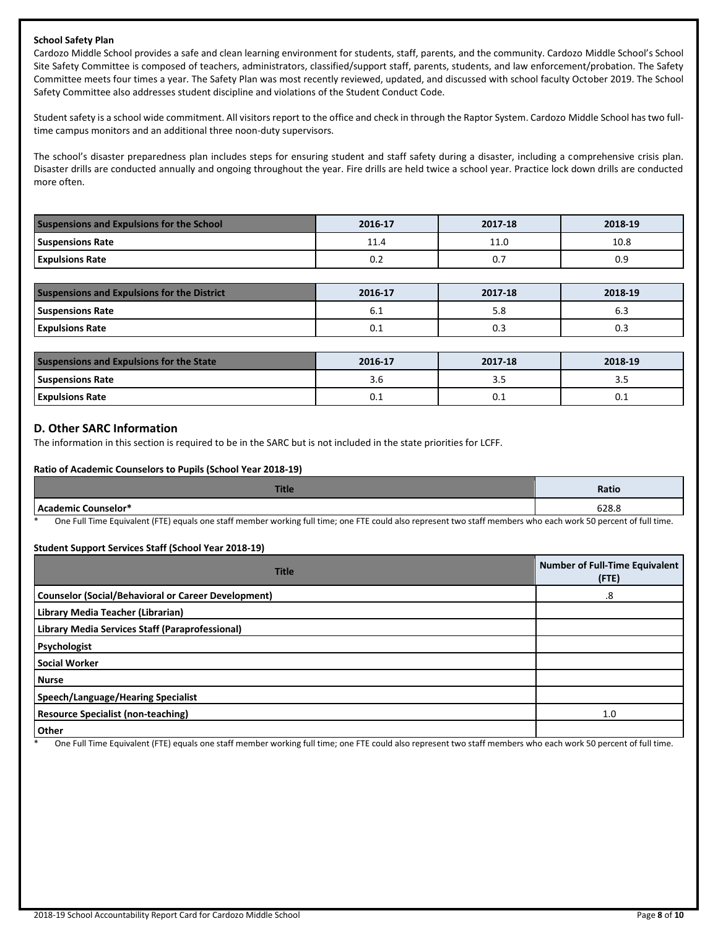#### **School Safety Plan**

Cardozo Middle School provides a safe and clean learning environment for students, staff, parents, and the community. Cardozo Middle School's School Site Safety Committee is composed of teachers, administrators, classified/support staff, parents, students, and law enforcement/probation. The Safety Committee meets four times a year. The Safety Plan was most recently reviewed, updated, and discussed with school faculty October 2019. The School Safety Committee also addresses student discipline and violations of the Student Conduct Code.

Student safety is a school wide commitment. All visitors report to the office and check in through the Raptor System. Cardozo Middle School has two fulltime campus monitors and an additional three noon-duty supervisors.

The school's disaster preparedness plan includes steps for ensuring student and staff safety during a disaster, including a comprehensive crisis plan. Disaster drills are conducted annually and ongoing throughout the year. Fire drills are held twice a school year. Practice lock down drills are conducted more often.

| <b>Suspensions and Expulsions for the School</b> | 2016-17    | 2017-18 | 2018-19 |  |
|--------------------------------------------------|------------|---------|---------|--|
| <b>Suspensions Rate</b>                          | <b>LLA</b> | 11.0    | 10.8    |  |
| <b>Expulsions Rate</b>                           | U.Z        | υ.      | 0.9     |  |

| <b>Suspensions and Expulsions for the District</b> | 2016-17 | 2017-18 | 2018-19 |
|----------------------------------------------------|---------|---------|---------|
| <b>Suspensions Rate</b>                            | ∪.⊥     | э.о     | 6.3     |
| <b>Expulsions Rate</b>                             | U.L     | υ.      | υ.      |

| <b>Suspensions and Expulsions for the State</b> | 2016-17 | 2017-18 | 2018-19 |
|-------------------------------------------------|---------|---------|---------|
| <b>Suspensions Rate</b>                         | 3.O     | כ.כ     |         |
| <b>Expulsions Rate</b>                          | U.L     | ◡…      | U.L     |

## **D. Other SARC Information**

The information in this section is required to be in the SARC but is not included in the state priorities for LCFF.

#### **Ratio of Academic Counselors to Pupils (School Year 2018-19)**

| r:.<br>пие                                                                                                                                       | Ratio                                                                                                           |
|--------------------------------------------------------------------------------------------------------------------------------------------------|-----------------------------------------------------------------------------------------------------------------|
| <b>Academic Counselor*</b><br>acau                                                                                                               | 628.8                                                                                                           |
| $\sim$ $\sim$<br>$\sim$ $\sim$<br>그 아이들은 그 사람들은 그 사람들을 지르며 아이들이 아니라 아이들이 아니라 아이들이 아니라 아이들이 아니라 아이들이 아니라 아이들이 아니라 아이들이 아니라 아이들이 아니라 아이들이 아니라 아이들이 | the contract of the contract of the contract of the contract of the contract of the contract of the contract of |

One Full Time Equivalent (FTE) equals one staff member working full time; one FTE could also represent two staff members who each work 50 percent of full time.

#### **Student Support Services Staff (School Year 2018-19)**

| <b>Title</b>                                               | <b>Number of Full-Time Equivalent</b><br>(FTE) |
|------------------------------------------------------------|------------------------------------------------|
| <b>Counselor (Social/Behavioral or Career Development)</b> | .8                                             |
| Library Media Teacher (Librarian)                          |                                                |
| Library Media Services Staff (Paraprofessional)            |                                                |
| Psychologist                                               |                                                |
| <b>Social Worker</b>                                       |                                                |
| <b>Nurse</b>                                               |                                                |
| Speech/Language/Hearing Specialist                         |                                                |
| <b>Resource Specialist (non-teaching)</b>                  | 1.0                                            |
| Other                                                      |                                                |

One Full Time Equivalent (FTE) equals one staff member working full time; one FTE could also represent two staff members who each work 50 percent of full time.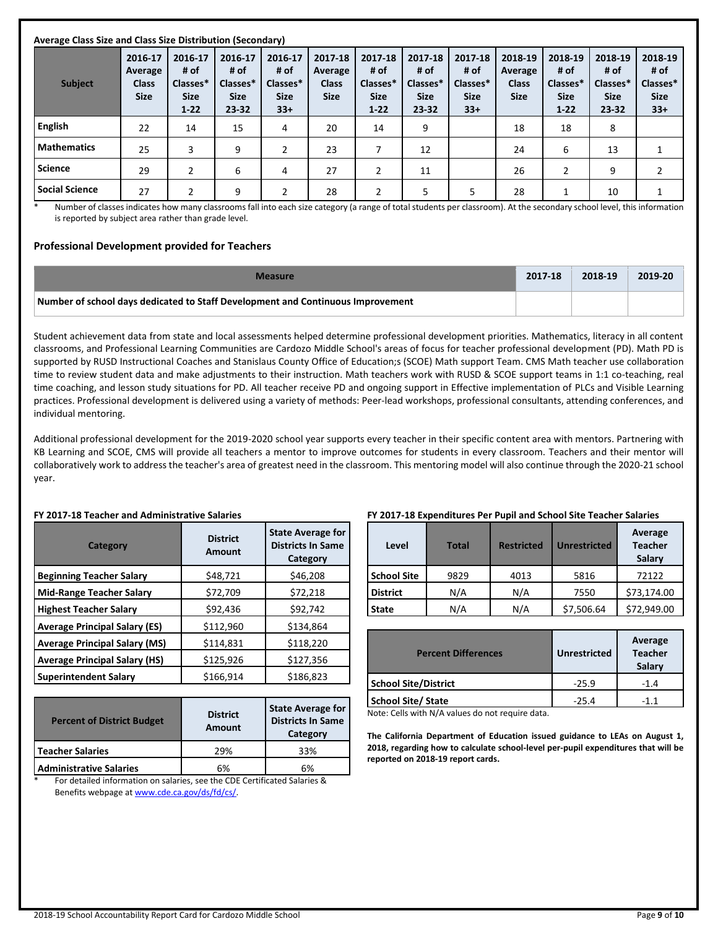| Average Class Size and Class Size Distribution (Secondary) |                                                   |                                                        |                                                     |                                                     |                                                   |                                                        |                                                         |                                                     |                                                   |                                                        |                                                         |                                                     |
|------------------------------------------------------------|---------------------------------------------------|--------------------------------------------------------|-----------------------------------------------------|-----------------------------------------------------|---------------------------------------------------|--------------------------------------------------------|---------------------------------------------------------|-----------------------------------------------------|---------------------------------------------------|--------------------------------------------------------|---------------------------------------------------------|-----------------------------------------------------|
| <b>Subject</b>                                             | 2016-17<br>Average<br><b>Class</b><br><b>Size</b> | 2016-17<br># of<br>Classes*<br><b>Size</b><br>$1 - 22$ | 2016-17<br># of<br>Classes*<br><b>Size</b><br>23-32 | 2016-17<br># of<br>Classes*<br><b>Size</b><br>$33+$ | 2017-18<br>Average<br><b>Class</b><br><b>Size</b> | 2017-18<br># of<br>Classes*<br><b>Size</b><br>$1 - 22$ | 2017-18<br># of<br>Classes*<br><b>Size</b><br>$23 - 32$ | 2017-18<br># of<br>Classes*<br><b>Size</b><br>$33+$ | 2018-19<br>Average<br><b>Class</b><br><b>Size</b> | 2018-19<br># of<br>Classes*<br><b>Size</b><br>$1 - 22$ | 2018-19<br># of<br>Classes*<br><b>Size</b><br>$23 - 32$ | 2018-19<br># of<br>Classes*<br><b>Size</b><br>$33+$ |
| <b>English</b>                                             | 22                                                | 14                                                     | 15                                                  | 4                                                   | 20                                                | 14                                                     | 9                                                       |                                                     | 18                                                | 18                                                     | 8                                                       |                                                     |
| <b>Mathematics</b>                                         | 25                                                | 3                                                      | 9                                                   |                                                     | 23                                                | ⇁                                                      | 12                                                      |                                                     | 24                                                | 6                                                      | 13                                                      | 1                                                   |
| <b>Science</b>                                             | 29                                                | 2                                                      | 6                                                   | 4                                                   | 27                                                | 2                                                      | 11                                                      |                                                     | 26                                                | 2                                                      | 9                                                       | $\overline{2}$                                      |
| <b>Social Science</b>                                      | 27                                                | 2                                                      | 9                                                   |                                                     | 28                                                | 2                                                      | 5                                                       | 5                                                   | 28                                                |                                                        | 10                                                      | 1                                                   |

Number of classes indicates how many classrooms fall into each size category (a range of total students per classroom). At the secondary school level, this information is reported by subject area rather than grade level.

#### **Professional Development provided for Teachers**

| <b>Measure</b>                                                                  | 2017-18 | 2018-19 | 2019-20 |
|---------------------------------------------------------------------------------|---------|---------|---------|
| Number of school days dedicated to Staff Development and Continuous Improvement |         |         |         |

Student achievement data from state and local assessments helped determine professional development priorities. Mathematics, literacy in all content classrooms, and Professional Learning Communities are Cardozo Middle School's areas of focus for teacher professional development (PD). Math PD is supported by RUSD Instructional Coaches and Stanislaus County Office of Education;s (SCOE) Math support Team. CMS Math teacher use collaboration time to review student data and make adjustments to their instruction. Math teachers work with RUSD & SCOE support teams in 1:1 co-teaching, real time coaching, and lesson study situations for PD. All teacher receive PD and ongoing support in Effective implementation of PLCs and Visible Learning practices. Professional development is delivered using a variety of methods: Peer-lead workshops, professional consultants, attending conferences, and individual mentoring.

Additional professional development for the 2019-2020 school year supports every teacher in their specific content area with mentors. Partnering with KB Learning and SCOE, CMS will provide all teachers a mentor to improve outcomes for students in every classroom. Teachers and their mentor will collaboratively work to address the teacher's area of greatest need in the classroom. This mentoring model will also continue through the 2020-21 school year.

#### **FY 2017-18 Teacher and Administrative Salaries**

| Category                             | <b>District</b><br><b>Amount</b> | <b>State Average for</b><br><b>Districts In Same</b><br>Category |  |
|--------------------------------------|----------------------------------|------------------------------------------------------------------|--|
| <b>Beginning Teacher Salary</b>      | \$48,721                         | \$46,208                                                         |  |
| <b>Mid-Range Teacher Salary</b>      | \$72,709                         | \$72,218                                                         |  |
| <b>Highest Teacher Salary</b>        | \$92,436                         | \$92,742                                                         |  |
| <b>Average Principal Salary (ES)</b> | \$112,960                        | \$134,864                                                        |  |
| <b>Average Principal Salary (MS)</b> | \$114,831                        | \$118,220                                                        |  |
| <b>Average Principal Salary (HS)</b> | \$125,926                        | \$127,356                                                        |  |
| <b>Superintendent Salary</b>         | \$166,914                        | \$186,823                                                        |  |

| <b>Percent of District Budget</b>                                                                                                                                                                                                                      | <b>District</b><br><b>Amount</b> | <b>State Average for</b><br><b>Districts In Same</b><br>Category |
|--------------------------------------------------------------------------------------------------------------------------------------------------------------------------------------------------------------------------------------------------------|----------------------------------|------------------------------------------------------------------|
| Teacher Salaries                                                                                                                                                                                                                                       | 29%                              | 33%                                                              |
| <b>Administrative Salaries</b>                                                                                                                                                                                                                         | 6%                               | 6%                                                               |
| <u>relative and the discussion of the control of the control of the control of the control of the control of the control of the control of the control of the control of the control of the control of the control of the contro</u><br>$\overline{v}$ |                                  |                                                                  |

For detailed information on salaries, see the CDE Certificated Salaries & Benefits webpage a[t www.cde.ca.gov/ds/fd/cs/.](http://www.cde.ca.gov/ds/fd/cs/)

#### **FY 2017-18 Expenditures Per Pupil and School Site Teacher Salaries**

| Level              | <b>Total</b> | <b>Restricted</b> | Average<br><b>Teacher</b><br><b>Unrestricted</b><br>Salary |             |
|--------------------|--------------|-------------------|------------------------------------------------------------|-------------|
| <b>School Site</b> | 9829         | 4013              | 5816                                                       | 72122       |
| <b>District</b>    | N/A          | N/A               | 7550                                                       | \$73,174.00 |
| <b>State</b>       | N/A          | N/A               | \$7,506.64                                                 | \$72,949.00 |

| <b>Percent Differences</b>  | <b>Unrestricted</b> | Average<br><b>Teacher</b><br>Salary |
|-----------------------------|---------------------|-------------------------------------|
| <b>School Site/District</b> | $-25.9$             | $-1\,4$                             |
| <b>School Site/State</b>    | $-25.4$             | -11                                 |

Note: Cells with N/A values do not require data.

**The California Department of Education issued guidance to LEAs on August 1, 2018, regarding how to calculate school-level per-pupil expenditures that will be reported on 2018-19 report cards.**